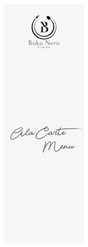

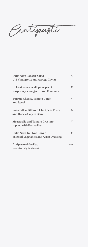Antipasti

| <b>Buko Nero Lobster Salad</b>               | 40   |
|----------------------------------------------|------|
| Uni Vinaigrette and Avruga Caviar            |      |
| Hokkaido Sea Scallop Carpaccio               | 34   |
| <b>Raspberry Vinaigrette and Edamame</b>     |      |
| <b>Burrata Cheese, Tomato Confit</b>         | 34   |
| and Speck                                    |      |
| <b>Roasted Cauliflower, Chickpeas Puree</b>  | 32   |
| and Honey/Capers Glaze                       |      |
| <b>Mozzarella and Tomato Crostino</b>        | 26   |
| topped with Parma Ham                        |      |
| <b>Buko Nero Tau Kwa Tower</b>               | 24   |
| <b>Sauteed Vegetables and Asian Dressing</b> |      |
| <b>Antipasto of the Day</b>                  | M.P. |
| (Available only for dinner)                  |      |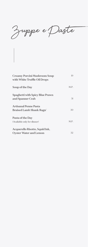Zuppe e Paste

| <b>Creamy Porcini Mushroom Soup</b><br>with White Truffle Oil Drops | 19   |
|---------------------------------------------------------------------|------|
| Soup of the Day                                                     | M.P. |
| <b>Spaghetti with Spicy Blue Prawn</b><br>and Spanner Crab          | 31   |
| <b>Artisanal Penne Pasta</b><br><b>Braised Lamb Shank Ragu'</b>     | 30   |
| Pasta of the Day<br>(Available only for dinner)                     | M.P. |
| Acquerello Risotto, Squid Ink,<br><b>Oyster Water and Lemon</b>     | 32   |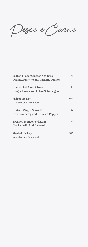Pesce e Carne

| <b>Seared Filet of Scottish Sea Bass</b><br>Orange, Pimento and Organic Quinoa | 46   |
|--------------------------------------------------------------------------------|------|
| <b>Chargrilled Akami Tuna</b><br><b>Ginger Flower snd Laksa Salmoriglio</b>    | 49   |
| <b>Fish of the Day</b><br>(Available only for dinner)                          | M.P. |
| <b>Braised Wagyu Short Rib</b><br>with Blueberry and Crushed Pepper            | 47   |
| <b>Breaded Iberico Pork Loin</b><br><b>Black Garlic And Balsamic</b>           | 46   |
| <b>Meat of the Day</b><br>(Available only for dinner)                          | M.P. |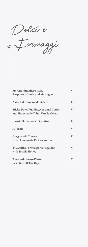Dolci e Formaggi

| My Grandmother's Cake                                     | 16 |
|-----------------------------------------------------------|----|
| <b>Raspberry Coulis and Meringue</b>                      |    |
| <b>Assorted Homemade Gelato</b>                           | 14 |
| <b>Sticky Dates Pudding, Caramel Coulis,</b>              | 16 |
| and Homemade Tahiti Vanilla Gelato                        |    |
| <b>Classic Homemade Tiramisu</b>                          | 18 |
| <b>Affogato</b>                                           | 14 |
|                                                           |    |
| <b>Gorgonzola Cheese</b><br>with Homemade Pickles and Jam | 16 |
|                                                           |    |
| 24 Months Parmiggiano Reggiano                            | 16 |
| with Truffle Honey                                        |    |
| <b>Assorted Cheese Platter:</b>                           | 24 |
| <b>Selection Of The Day</b>                               |    |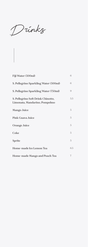Drinks

| Fiji Water (500ml)                                                  | 6   |
|---------------------------------------------------------------------|-----|
| S. Pellegrino Sparkling Water (500ml)                               | 6   |
| S. Pellegrino Sparkling Water (750ml)                               | 9   |
| S. Pellegrino Soft Drink Chinotto,<br>Limonata, Mandarino, Pompelmo | 5.5 |
| <b>Mango Juice</b>                                                  | 5   |
| <b>Pink Guava Juice</b>                                             | 5   |
| <b>Orange Juice</b>                                                 | 5   |
| Coke                                                                | 5   |
| <b>Sprite</b>                                                       | 5   |
| Home-made Ice Lemon Tea                                             | 6.5 |
| Home-made Mango and Peach Tea                                       | 7   |